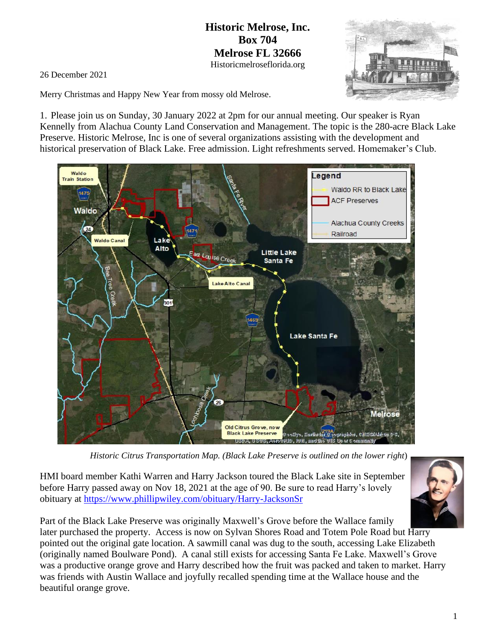## **Historic Melrose, Inc. Box 704 Melrose FL 32666** Historicmelroseflorida.org

26 December 2021

Merry Christmas and Happy New Year from mossy old Melrose.

1. Please join us on Sunday, 30 January 2022 at 2pm for our annual meeting. Our speaker is Ryan Kennelly from Alachua County Land Conservation and Management. The topic is the 280-acre Black Lake Preserve. Historic Melrose, Inc is one of several organizations assisting with the development and historical preservation of Black Lake. Free admission. Light refreshments served. Homemaker's Club.



*Historic Citrus Transportation Map. (Black Lake Preserve is outlined on the lower right*)

HMI board member Kathi Warren and Harry Jackson toured the Black Lake site in September before Harry passed away on Nov 18, 2021 at the age of 90. Be sure to read Harry's lovely obituary at<https://www.phillipwiley.com/obituary/Harry-JacksonSr>



Part of the Black Lake Preserve was originally Maxwell's Grove before the Wallace family later purchased the property. Access is now on Sylvan Shores Road and Totem Pole Road but Harry pointed out the original gate location. A sawmill canal was dug to the south, accessing Lake Elizabeth (originally named Boulware Pond). A canal still exists for accessing Santa Fe Lake. Maxwell's Grove was a productive orange grove and Harry described how the fruit was packed and taken to market. Harry was friends with Austin Wallace and joyfully recalled spending time at the Wallace house and the beautiful orange grove.

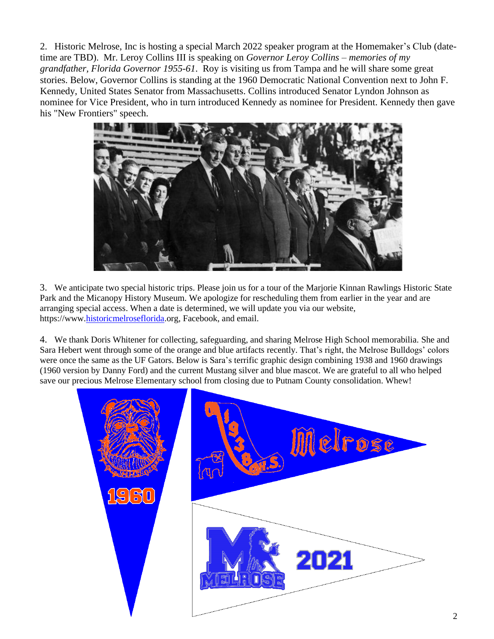2. Historic Melrose, Inc is hosting a special March 2022 speaker program at the Homemaker's Club (datetime are TBD). Mr. Leroy Collins III is speaking on *Governor Leroy Collins – memories of my grandfather, Florida Governor 1955-61*. Roy is visiting us from Tampa and he will share some great stories. Below, Governor Collins is standing at the 1960 Democratic National Convention next to John F. Kennedy, United States Senator from Massachusetts. Collins introduced Senator Lyndon Johnson as nominee for Vice President, who in turn introduced Kennedy as nominee for President. Kennedy then gave his "New Frontiers" speech.



3. We anticipate two special historic trips. Please join us for a tour of the Marjorie Kinnan Rawlings Historic State Park and the Micanopy History Museum. We apologize for rescheduling them from earlier in the year and are arranging special access. When a date is determined, we will update you via our website, https://www[.historicmelroseflorida.](https://www.historicmelroseflorida.org/)org, Facebook, and email.

4. We thank Doris Whitener for collecting, safeguarding, and sharing Melrose High School memorabilia. She and Sara Hebert went through some of the orange and blue artifacts recently. That's right, the Melrose Bulldogs' colors were once the same as the UF Gators. Below is Sara's terrific graphic design combining 1938 and 1960 drawings (1960 version by Danny Ford) and the current Mustang silver and blue mascot. We are grateful to all who helped save our precious Melrose Elementary school from closing due to Putnam County consolidation. Whew!

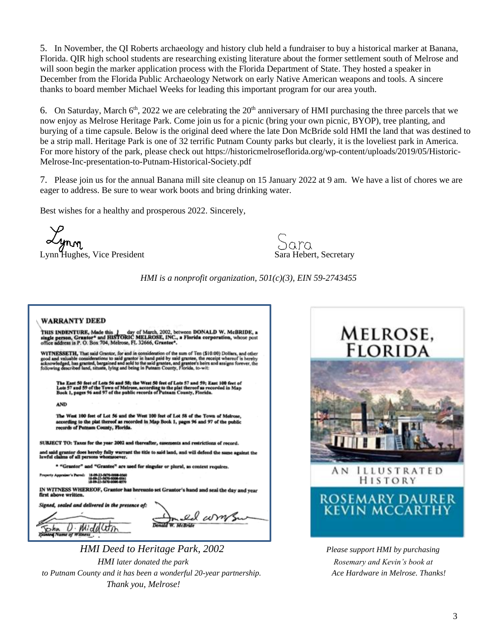5. In November, the QI Roberts archaeology and history club held a fundraiser to buy a historical marker at Banana, Florida. QIR high school students are researching existing literature about the former settlement south of Melrose and will soon begin the marker application process with the Florida Department of State. They hosted a speaker in December from the Florida Public Archaeology Network on early Native American weapons and tools. A sincere thanks to board member Michael Weeks for leading this important program for our area youth.

6. On Saturday, March  $6<sup>th</sup>$ , 2022 we are celebrating the  $20<sup>th</sup>$  anniversary of HMI purchasing the three parcels that we now enjoy as Melrose Heritage Park. Come join us for a picnic (bring your own picnic, BYOP), tree planting, and burying of a time capsule. Below is the original deed where the late Don McBride sold HMI the land that was destined to be a strip mall. Heritage Park is one of 32 terrific Putnam County parks but clearly, it is the loveliest park in America. For more history of the park, please check out https://historicmelroseflorida.org/wp-content/uploads/2019/05/Historic-Melrose-Inc-presentation-to-Putnam-Historical-Society.pdf

7. Please join us for the annual Banana mill site cleanup on 15 January 2022 at 9 am. We have a list of chores we are eager to address. Be sure to wear work boots and bring drinking water.

Best wishes for a healthy and prosperous 2022. Sincerely,

Lynn Hughes, Vice President Sara Hebert, Secretary

*HMI is a nonprofit organization, 501(c)(3), EIN 59-2743455* 

## **WARRANTY DEED**

THIS INDENTURE, Made this 1 day of March. 2002, between DONALD W. McBRIDE, a single person, Grantor\* and HISTORIC MELROSE, INC., a Florida corporation, whose post office address is P. O. Box 704, Melrose, FL 32666, Grantee

orice assiecas as r. O. DOA 70%, Preciose, r. D. 20000, Orientee"<br>WITNESSETH, That said Grantor, for and in consideration of the sum of Ten (\$10.00) Dollars, and other<br>good and valuable considerations to said grantor in ha

The East 50 feet of Lots 56 and 58; the West 50 feet of Lots 57 and 59; East 100<br>Lots 57 and 59 of the Town of Melrose, according to the plat thereof as recorded i<br>Book 1, pages 96 and 97 of the public records of Putnam Co

**AND** 

 The West 100 feet of Lot 56 and the West 100 feet of Lot 58 of the Town of Mc g to the plat thereof as recorded in Map Book 1, pages 96 and 97 n County, Florida

SUBJECT TO: Taxes for the year 2002 and thereafter, easen ents and restrictions of record.

es hereby fully warrant the title to said land, and will defend the

'Grantee" are used for singular or plural, as context requires

IN WITNESS WHEREOF, Grantor has hereunto set Grantor's hand and seal the day and year

led and delivered in the presence of:

D Middle

ed wm

 *HMI Deed to Heritage Park, 2002 Please support HMI by purchasing HMI later donated the park now in the park Rosemary and Kevin's book at**Rosemary and Kevin's book at to Putnam County and it has been a wonderful 20-year partnership. Ace Hardware in Melrose. Thanks! Thank you, Melrose!*